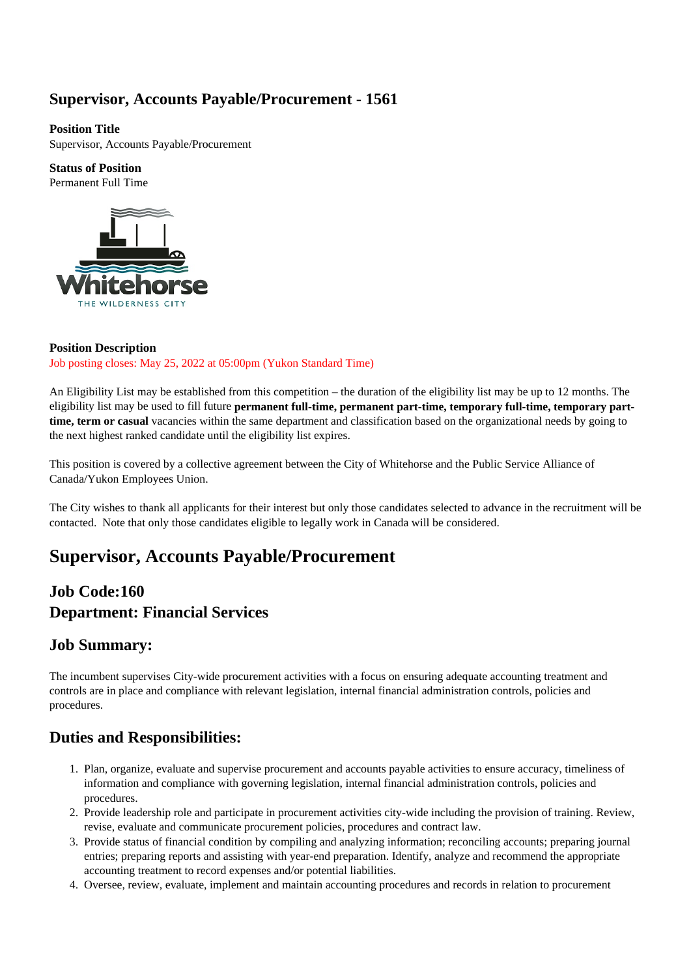### **Supervisor, Accounts Payable/Procurement - 1561**

**Position Title** Supervisor, Accounts Payable/Procurement

**Status of Position** Permanent Full Time



#### **Position Description** Job posting closes: May 25, 2022 at 05:00pm (Yukon Standard Time)

An Eligibility List may be established from this competition – the duration of the eligibility list may be up to 12 months. The eligibility list may be used to fill future **permanent full-time, permanent part-time, temporary full-time, temporary parttime, term or casual** vacancies within the same department and classification based on the organizational needs by going to the next highest ranked candidate until the eligibility list expires.

This position is covered by a collective agreement between the City of Whitehorse and the Public Service Alliance of Canada/Yukon Employees Union.

The City wishes to thank all applicants for their interest but only those candidates selected to advance in the recruitment will be contacted. Note that only those candidates eligible to legally work in Canada will be considered.

# **Supervisor, Accounts Payable/Procurement**

### **Job Code:160 Department: Financial Services**

### **Job Summary:**

The incumbent supervises City-wide procurement activities with a focus on ensuring adequate accounting treatment and controls are in place and compliance with relevant legislation, internal financial administration controls, policies and procedures.

### **Duties and Responsibilities:**

- 1. Plan, organize, evaluate and supervise procurement and accounts payable activities to ensure accuracy, timeliness of information and compliance with governing legislation, internal financial administration controls, policies and procedures.
- 2. Provide leadership role and participate in procurement activities city-wide including the provision of training. Review, revise, evaluate and communicate procurement policies, procedures and contract law.
- 3. Provide status of financial condition by compiling and analyzing information; reconciling accounts; preparing journal entries; preparing reports and assisting with year-end preparation. Identify, analyze and recommend the appropriate accounting treatment to record expenses and/or potential liabilities.
- 4. Oversee, review, evaluate, implement and maintain accounting procedures and records in relation to procurement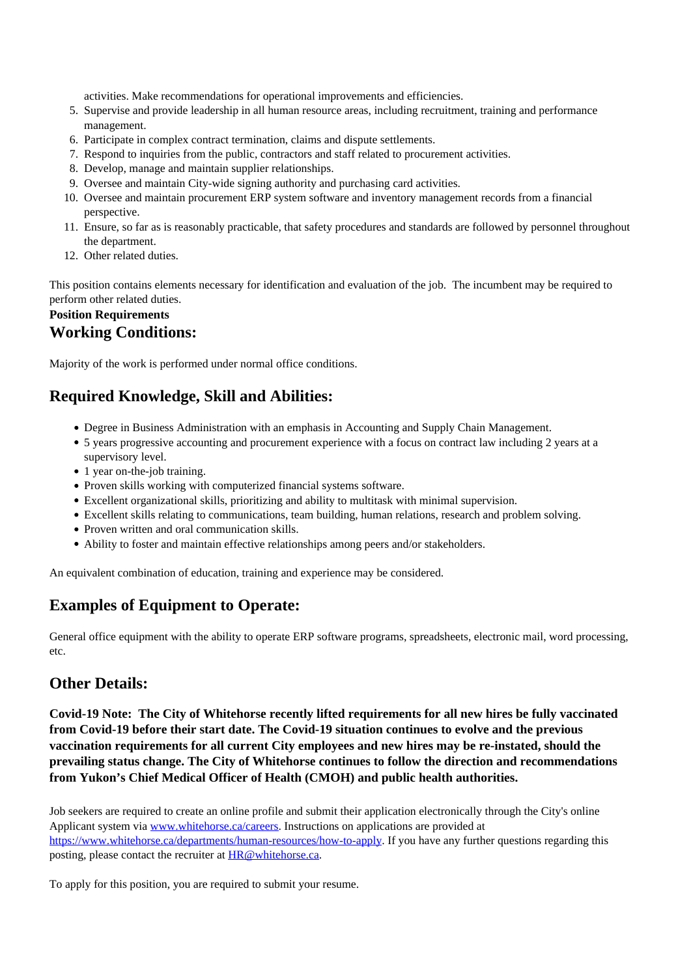activities. Make recommendations for operational improvements and efficiencies.

- 5. Supervise and provide leadership in all human resource areas, including recruitment, training and performance management.
- 6. Participate in complex contract termination, claims and dispute settlements.
- 7. Respond to inquiries from the public, contractors and staff related to procurement activities.
- 8. Develop, manage and maintain supplier relationships.
- 9. Oversee and maintain City-wide signing authority and purchasing card activities.
- 10. Oversee and maintain procurement ERP system software and inventory management records from a financial perspective.
- 11. Ensure, so far as is reasonably practicable, that safety procedures and standards are followed by personnel throughout the department.
- 12. Other related duties.

This position contains elements necessary for identification and evaluation of the job. The incumbent may be required to perform other related duties.

#### **Position Requirements Working Conditions:**

Majority of the work is performed under normal office conditions.

### **Required Knowledge, Skill and Abilities:**

- Degree in Business Administration with an emphasis in Accounting and Supply Chain Management.
- 5 years progressive accounting and procurement experience with a focus on contract law including 2 years at a supervisory level.
- 1 year on-the-job training.
- Proven skills working with computerized financial systems software.
- Excellent organizational skills, prioritizing and ability to multitask with minimal supervision.
- Excellent skills relating to communications, team building, human relations, research and problem solving.
- Proven written and oral communication skills.
- Ability to foster and maintain effective relationships among peers and/or stakeholders.

An equivalent combination of education, training and experience may be considered.

## **Examples of Equipment to Operate:**

General office equipment with the ability to operate ERP software programs, spreadsheets, electronic mail, word processing, etc.

### **Other Details:**

**Covid-19 Note: The City of Whitehorse recently lifted requirements for all new hires be fully vaccinated from Covid-19 before their start date. The Covid-19 situation continues to evolve and the previous vaccination requirements for all current City employees and new hires may be re-instated, should the prevailing status change. The City of Whitehorse continues to follow the direction and recommendations from Yukon's Chief Medical Officer of Health (CMOH) and public health authorities.** 

Job seekers are required to create an online profile and submit their application electronically through the City's online Applicant system via [www.whitehorse.ca/careers.](https://www.whitehorse.ca/departments/human-resources/job-opportunities) Instructions on applications are provided at <https://www.whitehorse.ca/departments/human-resources/how-to-apply>. If you have any further questions regarding this posting, please contact the recruiter at [HR@whitehorse.ca](mailto:HR@whitehorse.ca).

To apply for this position, you are required to submit your resume.